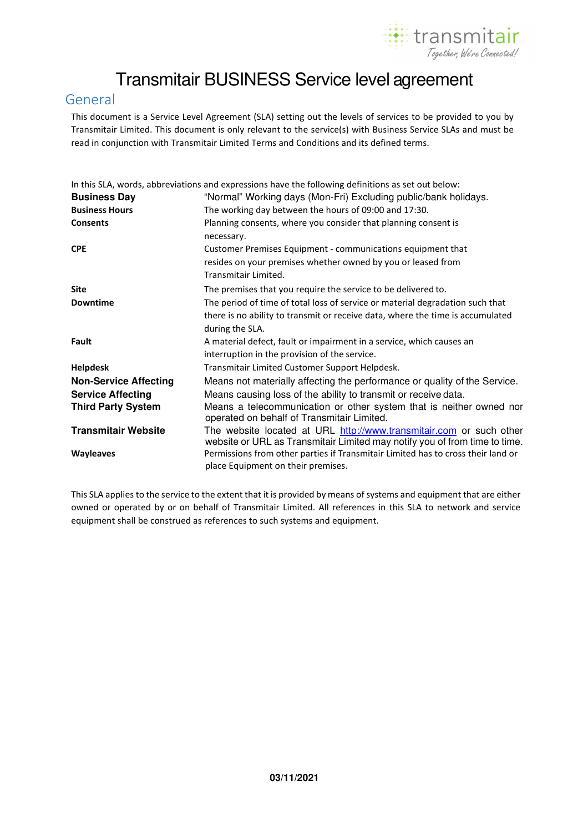

# Transmitair BUSINESS Service level agreement

## General

This document is a Service Level Agreement (SLA) setting out the levels of services to be provided to you by Transmitair Limited. This document is only relevant to the service(s) with Business Service SLAs and must be read in conjunction with Transmitair Limited Terms and Conditions and its defined terms.

|                              | In this SLA, words, abbreviations and expressions have the following definitions as set out below:                                                                                 |  |  |  |
|------------------------------|------------------------------------------------------------------------------------------------------------------------------------------------------------------------------------|--|--|--|
| <b>Business Day</b>          | "Normal" Working days (Mon-Fri) Excluding public/bank holidays.                                                                                                                    |  |  |  |
| <b>Business Hours</b>        | The working day between the hours of 09:00 and 17:30.                                                                                                                              |  |  |  |
| <b>Consents</b>              | Planning consents, where you consider that planning consent is<br>necessary.                                                                                                       |  |  |  |
| <b>CPE</b>                   | Customer Premises Equipment - communications equipment that<br>resides on your premises whether owned by you or leased from<br>Transmitair Limited.                                |  |  |  |
| <b>Site</b>                  | The premises that you require the service to be delivered to.                                                                                                                      |  |  |  |
| <b>Downtime</b>              | The period of time of total loss of service or material degradation such that<br>there is no ability to transmit or receive data, where the time is accumulated<br>during the SLA. |  |  |  |
| Fault                        | A material defect, fault or impairment in a service, which causes an<br>interruption in the provision of the service.                                                              |  |  |  |
| <b>Helpdesk</b>              | Transmitair Limited Customer Support Helpdesk.                                                                                                                                     |  |  |  |
| <b>Non-Service Affecting</b> | Means not materially affecting the performance or quality of the Service.                                                                                                          |  |  |  |
| <b>Service Affecting</b>     | Means causing loss of the ability to transmit or receive data.                                                                                                                     |  |  |  |
| <b>Third Party System</b>    | Means a telecommunication or other system that is neither owned nor<br>operated on behalf of Transmitair Limited.                                                                  |  |  |  |
| <b>Transmitair Website</b>   | The website located at URL http://www.transmitair.com or such other<br>website or URL as Transmitair Limited may notify you of from time to time.                                  |  |  |  |
| <b>Wayleaves</b>             | Permissions from other parties if Transmitair Limited has to cross their land or<br>place Equipment on their premises.                                                             |  |  |  |

This SLA applies to the service to the extent that it is provided by means of systems and equipment that are either owned or operated by or on behalf of Transmitair Limited. All references in this SLA to network and service equipment shall be construed as references to such systems and equipment.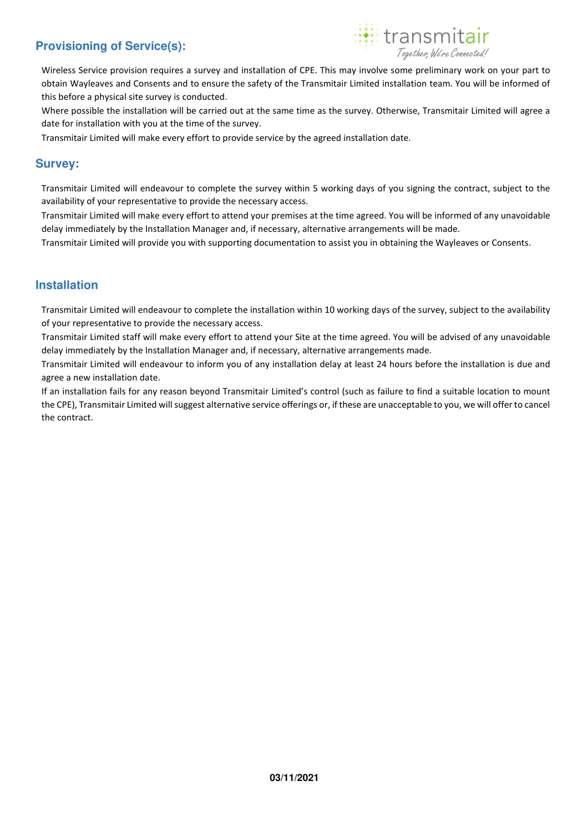# **Provisioning of Service(s):**



Wireless Service provision requires a survey and installation of CPE. This may involve some preliminary work on your part to obtain Wayleaves and Consents and to ensure the safety of the Transmitair Limited installation team. You will be informed of this before a physical site survey is conducted.

Where possible the installation will be carried out at the same time as the survey. Otherwise, Transmitair Limited will agree a date for installation with you at the time of the survey.

Transmitair Limited will make every effort to provide service by the agreed installation date.

## **Survey:**

Transmitair Limited will endeavour to complete the survey within 5 working days of you signing the contract, subject to the availability of your representative to provide the necessary access.

Transmitair Limited will make every effort to attend your premises at the time agreed. You will be informed of any unavoidable delay immediately by the Installation Manager and, if necessary, alternative arrangements will be made.

Transmitair Limited will provide you with supporting documentation to assist you in obtaining the Wayleaves or Consents.

## **Installation**

Transmitair Limited will endeavour to complete the installation within 10 working days of the survey, subject to the availability of your representative to provide the necessary access.

Transmitair Limited staff will make every effort to attend your Site at the time agreed. You will be advised of any unavoidable delay immediately by the Installation Manager and, if necessary, alternative arrangements made.

Transmitair Limited will endeavour to inform you of any installation delay at least 24 hours before the installation is due and agree a new installation date.

If an installation fails for any reason beyond Transmitair Limited's control (such as failure to find a suitable location to mount the CPE), Transmitair Limited will suggest alternative service offerings or, if these are unacceptable to you, we will offer to cancel the contract.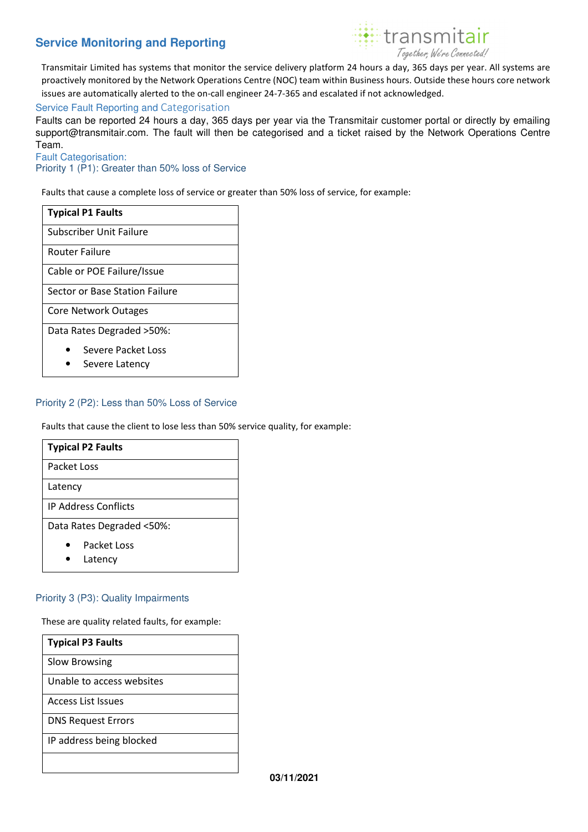# **Service Monitoring and Reporting**



Transmitair Limited has systems that monitor the service delivery platform 24 hours a day, 365 days per year. All systems are proactively monitored by the Network Operations Centre (NOC) team within Business hours. Outside these hours core network issues are automatically alerted to the on-call engineer 24-7-365 and escalated if not acknowledged.

#### Service Fault Reporting and Categorisation

Faults can be reported 24 hours a day, 365 days per year via the Transmitair customer portal or directly by emailing support@transmitair.com. The fault will then be categorised and a ticket raised by the Network Operations Centre Team.

Fault Categorisation:

Priority 1 (P1): Greater than 50% loss of Service

Faults that cause a complete loss of service or greater than 50% loss of service, for example:

| <b>Typical P1 Faults</b>             |  |  |  |  |
|--------------------------------------|--|--|--|--|
| Subscriber Unit Failure              |  |  |  |  |
| <b>Router Failure</b>                |  |  |  |  |
| Cable or POE Failure/Issue           |  |  |  |  |
| Sector or Base Station Failure       |  |  |  |  |
| Core Network Outages                 |  |  |  |  |
| Data Rates Degraded > 50%:           |  |  |  |  |
| Severe Packet Loss<br>Severe Latency |  |  |  |  |

#### Priority 2 (P2): Less than 50% Loss of Service

Faults that cause the client to lose less than 50% service quality, for example:

| <b>Typical P2 Faults</b>    |  |  |
|-----------------------------|--|--|
| Packet Loss                 |  |  |
| Latency                     |  |  |
| <b>IP Address Conflicts</b> |  |  |
| Data Rates Degraded <50%:   |  |  |
| Packet Loss<br>.            |  |  |

**Latency** 

#### Priority 3 (P3): Quality Impairments

These are quality related faults, for example:

| <b>Typical P3 Faults</b>  |
|---------------------------|
| Slow Browsing             |
| Unable to access websites |
| Access List Issues        |
| <b>DNS Request Errors</b> |
| IP address being blocked  |
|                           |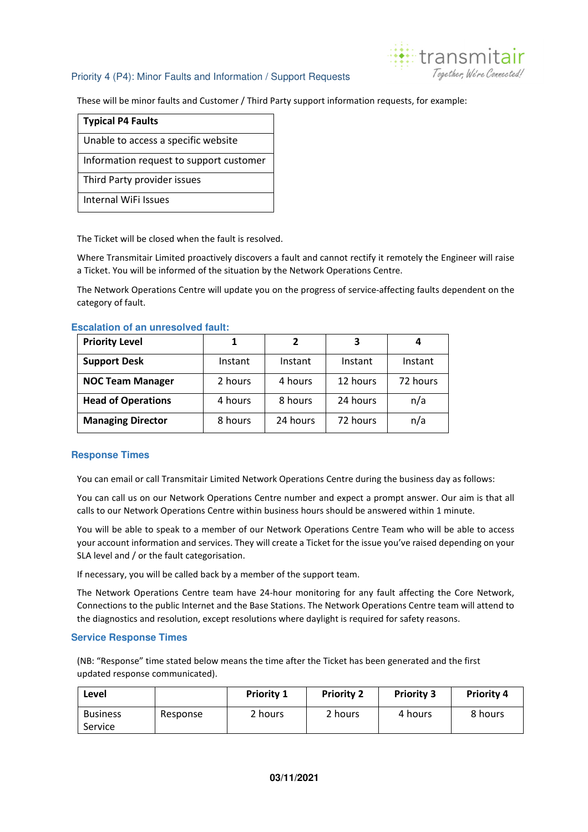### Priority 4 (P4): Minor Faults and Information / Support Requests



These will be minor faults and Customer / Third Party support information requests, for example:

| <b>Typical P4 Faults</b>                |
|-----------------------------------------|
| Unable to access a specific website     |
| Information request to support customer |
| Third Party provider issues             |
| <b>Internal WiFi Issues</b>             |

The Ticket will be closed when the fault is resolved.

Where Transmitair Limited proactively discovers a fault and cannot rectify it remotely the Engineer will raise a Ticket. You will be informed of the situation by the Network Operations Centre.

The Network Operations Centre will update you on the progress of service-affecting faults dependent on the category of fault.

# **Priority Level 1 1 2 3 4 Support Desk** | Instant | Instant | Instant | Instant **NOC Team Manager**  $\vert$  2 hours  $\vert$  4 hours  $\vert$  12 hours  $\vert$  72 hours **Head of Operations** | 4 hours | 8 hours | 24 hours | n/a **Managing Director** | 8 hours | 24 hours | 72 hours | n/a

#### **Escalation of an unresolved fault:**

### **Response Times**

You can email or call Transmitair Limited Network Operations Centre during the business day as follows:

You can call us on our Network Operations Centre number and expect a prompt answer. Our aim is that all calls to our Network Operations Centre within business hours should be answered within 1 minute.

You will be able to speak to a member of our Network Operations Centre Team who will be able to access your account information and services. They will create a Ticket for the issue you've raised depending on your SLA level and / or the fault categorisation.

If necessary, you will be called back by a member of the support team.

The Network Operations Centre team have 24-hour monitoring for any fault affecting the Core Network, Connections to the public Internet and the Base Stations. The Network Operations Centre team will attend to the diagnostics and resolution, except resolutions where daylight is required for safety reasons.

#### **Service Response Times**

(NB: "Response" time stated below means the time after the Ticket has been generated and the first updated response communicated).

| Level           |          | <b>Priority 1</b> | <b>Priority 2</b> | <b>Priority 3</b> | <b>Priority 4</b> |
|-----------------|----------|-------------------|-------------------|-------------------|-------------------|
| <b>Business</b> | Response | 2 hours           | 2 hours           | 4 hours           | 8 hours           |
| Service         |          |                   |                   |                   |                   |